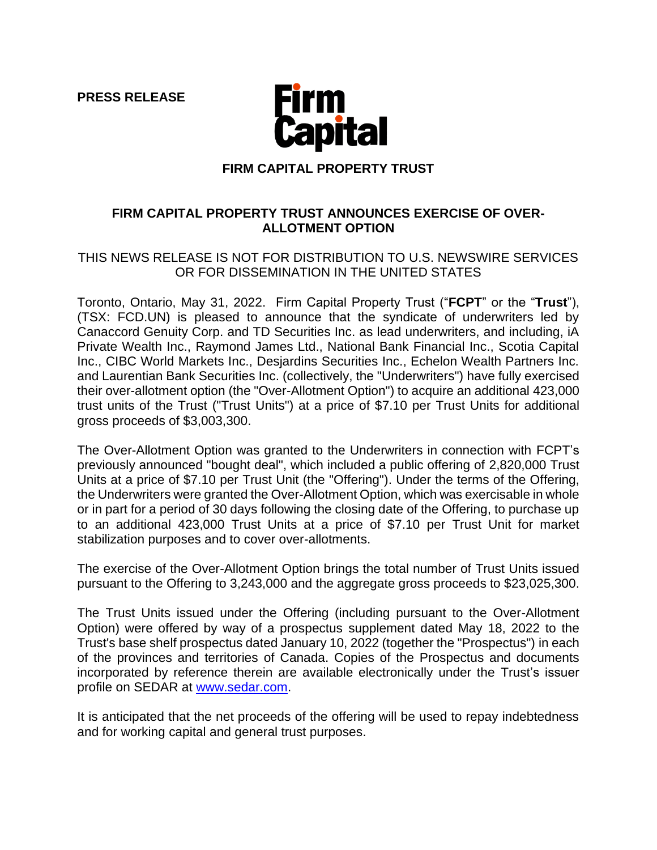**PRESS RELEASE**



#### **FIRM CAPITAL PROPERTY TRUST**

### **FIRM CAPITAL PROPERTY TRUST ANNOUNCES EXERCISE OF OVER-ALLOTMENT OPTION**

#### THIS NEWS RELEASE IS NOT FOR DISTRIBUTION TO U.S. NEWSWIRE SERVICES OR FOR DISSEMINATION IN THE UNITED STATES

Toronto, Ontario, May 31, 2022. Firm Capital Property Trust ("**FCPT**" or the "**Trust**"), (TSX: FCD.UN) is pleased to announce that the syndicate of underwriters led by Canaccord Genuity Corp. and TD Securities Inc. as lead underwriters, and including, iA Private Wealth Inc., Raymond James Ltd., National Bank Financial Inc., Scotia Capital Inc., CIBC World Markets Inc., Desjardins Securities Inc., Echelon Wealth Partners Inc. and Laurentian Bank Securities Inc. (collectively, the "Underwriters") have fully exercised their over-allotment option (the "Over-Allotment Option") to acquire an additional 423,000 trust units of the Trust ("Trust Units") at a price of \$7.10 per Trust Units for additional gross proceeds of \$3,003,300.

The Over-Allotment Option was granted to the Underwriters in connection with FCPT's previously announced "bought deal", which included a public offering of 2,820,000 Trust Units at a price of \$7.10 per Trust Unit (the "Offering"). Under the terms of the Offering, the Underwriters were granted the Over-Allotment Option, which was exercisable in whole or in part for a period of 30 days following the closing date of the Offering, to purchase up to an additional 423,000 Trust Units at a price of \$7.10 per Trust Unit for market stabilization purposes and to cover over-allotments.

The exercise of the Over-Allotment Option brings the total number of Trust Units issued pursuant to the Offering to 3,243,000 and the aggregate gross proceeds to \$23,025,300.

The Trust Units issued under the Offering (including pursuant to the Over-Allotment Option) were offered by way of a prospectus supplement dated May 18, 2022 to the Trust's base shelf prospectus dated January 10, 2022 (together the "Prospectus") in each of the provinces and territories of Canada. Copies of the Prospectus and documents incorporated by reference therein are available electronically under the Trust's issuer profile on SEDAR at [www.sedar.com.](http://www.sedar.com/)

It is anticipated that the net proceeds of the offering will be used to repay indebtedness and for working capital and general trust purposes.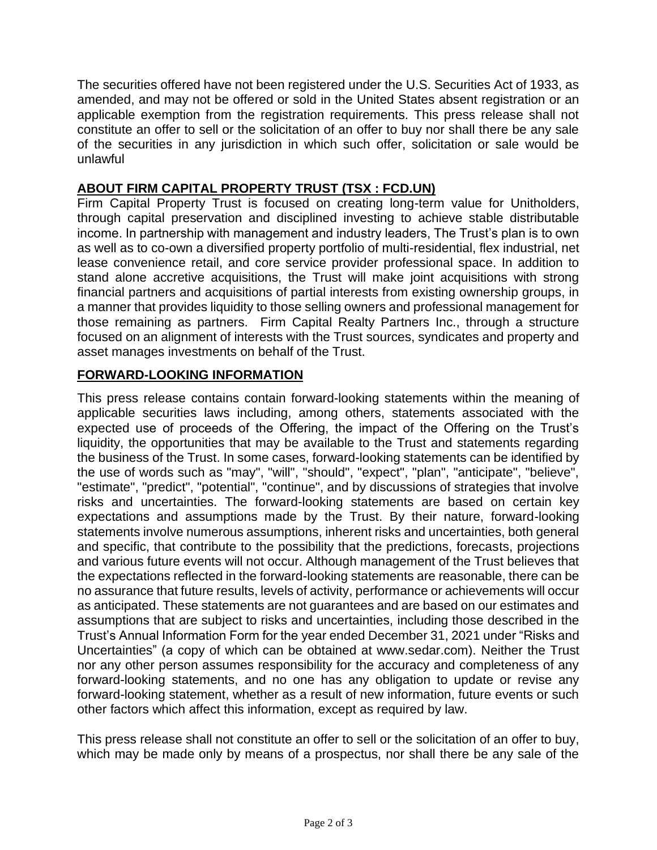The securities offered have not been registered under the U.S. Securities Act of 1933, as amended, and may not be offered or sold in the United States absent registration or an applicable exemption from the registration requirements. This press release shall not constitute an offer to sell or the solicitation of an offer to buy nor shall there be any sale of the securities in any jurisdiction in which such offer, solicitation or sale would be unlawful

# **ABOUT FIRM CAPITAL PROPERTY TRUST (TSX : FCD.UN)**

Firm Capital Property Trust is focused on creating long-term value for Unitholders, through capital preservation and disciplined investing to achieve stable distributable income. In partnership with management and industry leaders, The Trust's plan is to own as well as to co-own a diversified property portfolio of multi-residential, flex industrial, net lease convenience retail, and core service provider professional space. In addition to stand alone accretive acquisitions, the Trust will make joint acquisitions with strong financial partners and acquisitions of partial interests from existing ownership groups, in a manner that provides liquidity to those selling owners and professional management for those remaining as partners. Firm Capital Realty Partners Inc., through a structure focused on an alignment of interests with the Trust sources, syndicates and property and asset manages investments on behalf of the Trust.

## **FORWARD-LOOKING INFORMATION**

This press release contains contain forward-looking statements within the meaning of applicable securities laws including, among others, statements associated with the expected use of proceeds of the Offering, the impact of the Offering on the Trust's liquidity, the opportunities that may be available to the Trust and statements regarding the business of the Trust. In some cases, forward-looking statements can be identified by the use of words such as "may", "will", "should", "expect", "plan", "anticipate", "believe", "estimate", "predict", "potential", "continue", and by discussions of strategies that involve risks and uncertainties. The forward-looking statements are based on certain key expectations and assumptions made by the Trust. By their nature, forward-looking statements involve numerous assumptions, inherent risks and uncertainties, both general and specific, that contribute to the possibility that the predictions, forecasts, projections and various future events will not occur. Although management of the Trust believes that the expectations reflected in the forward-looking statements are reasonable, there can be no assurance that future results, levels of activity, performance or achievements will occur as anticipated. These statements are not guarantees and are based on our estimates and assumptions that are subject to risks and uncertainties, including those described in the Trust's Annual Information Form for the year ended December 31, 2021 under "Risks and Uncertainties" (a copy of which can be obtained at www.sedar.com). Neither the Trust nor any other person assumes responsibility for the accuracy and completeness of any forward-looking statements, and no one has any obligation to update or revise any forward-looking statement, whether as a result of new information, future events or such other factors which affect this information, except as required by law.

This press release shall not constitute an offer to sell or the solicitation of an offer to buy, which may be made only by means of a prospectus, nor shall there be any sale of the